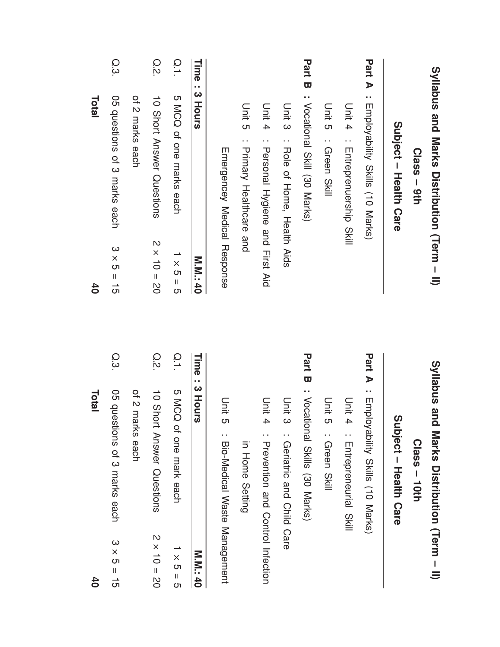|                   | <b>Total</b>                                      |               | $\overline{40}$         |                                                            | Total             |
|-------------------|---------------------------------------------------|---------------|-------------------------|------------------------------------------------------------|-------------------|
| $3 \times 5 =$    | 05 questions of 3 marks each                      | Q.3           | $3 \times 5 = 15$       | O5 questions of 3 marks each                               | Q.3               |
|                   | of 2 marks each                                   |               |                         | of 2 marks each                                            |                   |
| $2 \times 10 = 2$ | 10 Short Answer Questions                         | Q.2           | $2 \times 10 = 20$      | 10 Short Answer Questions                                  | <b>Q.2</b>        |
| $1 \times 5 =$    | <b>DOM</b><br>of one mark each                    | $\frac{0}{1}$ | $\frac{1}{x}$<br>။<br>ဟ | 5 MCQ of one marks each                                    | $\frac{0}{1}$     |
| M.M.M.: 4         | : 3 Hours                                         | Time          | <b>M.M. 40</b>          |                                                            | Time<br>: 3 Hours |
|                   | Unit 5<br><b>Bio-Medical Waste Management</b>     |               |                         | Emergencey Medical Response                                |                   |
|                   | in Home Setting                                   |               |                         | Unit 5<br>: Primary Healthcare and                         |                   |
|                   | Unit 4<br><b>Prevention and Control Infection</b> |               |                         | Unit<br>$\overline{4}$<br>: Personal Hygiene and First Aid |                   |
|                   | Unit 3<br>: Geriatric and Child Care              |               |                         | Unit 3<br>: Role of Home, Health Aids                      |                   |
|                   | <b>Part B</b> : Vocational Skills (30 Marks)      |               |                         | <b>Part B</b> : <b>Notational Skill</b> (30 <b>Narks</b> ) |                   |
|                   | Unit 5<br>: Green Skill                           |               |                         | Unit 2: Green Skill                                        |                   |
|                   | Unit 4<br>Entrepreneurial Skill                   |               |                         | Unit 4<br>: Enteprenceship<br>SKII                         |                   |
|                   | : Employability Skills (10 Marks)                 | Part A        |                         | <b>Part A</b> : Employability Skills (10 Marks)            |                   |
|                   | $\overline{\mathbf{0}}$<br>upject - Health Care   |               |                         | Supject - Health Care                                      |                   |
|                   | $Class - 10th$                                    |               |                         | $Class - 9th$                                              |                   |
|                   | Syllabus and<br>Marks Distribution (Term - II)    |               |                         | Syllabus and Marks Distribution (Term - II)                |                   |

40

 $\overline{\mathsf{I}}$ ပာ

م<br>0

15 40